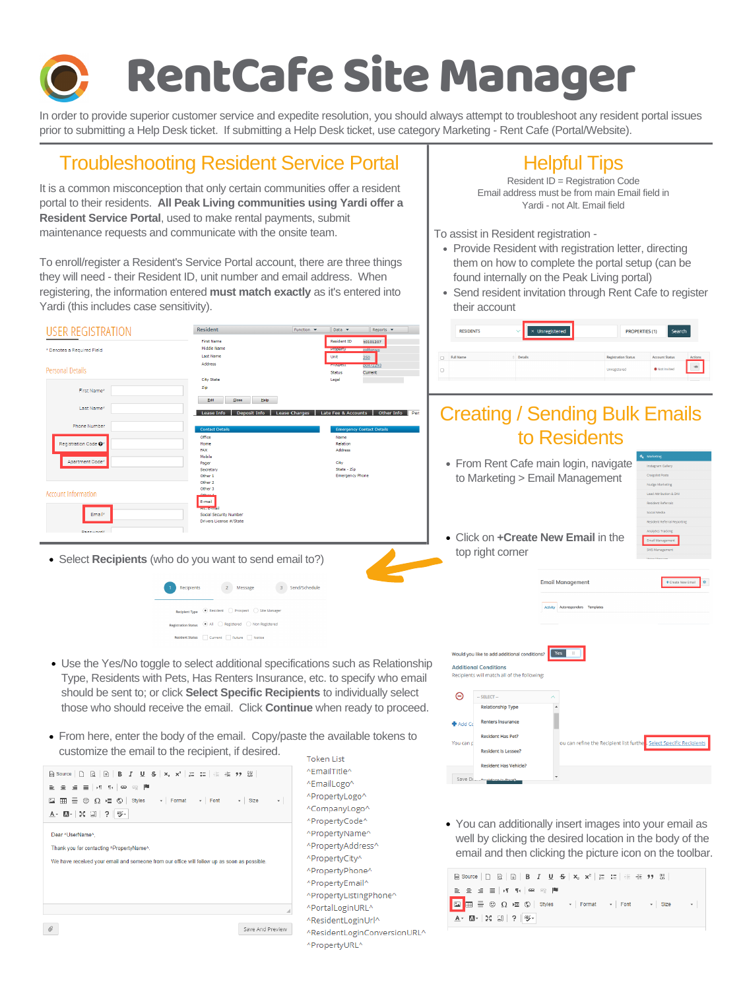# RentCafe SiteManager

It is a common misconception that only certain communities offer a resident portal to their residents. **All Peak Living communities using Yardi offer a Resident Service Portal**, used to make rental payments, submit maintenance requests and communicate with the onsite team.

To enroll/register a Resident's Service Portal account, there are three things they will need - their Resident ID, unit number and email address. When registering, the information entered **must match exactly** as it's entered into Yardi (this includes case sensitivity).



- Provide Resident with registration letter, directing them on how to complete the portal setup (can be found internally on the Peak Living portal)
- Send resident invitation through Rent Cafe to register their account

|   | <b>RESIDENTS</b> | $\times$ Unregistered | <b>PROPERTIES (1)</b>      | Search                |                |
|---|------------------|-----------------------|----------------------------|-----------------------|----------------|
|   | <b>Full Name</b> | <b>Details</b>        | <b>Registration Status</b> | <b>Account Status</b> | <b>Actions</b> |
| D |                  |                       | Unregistered               | Not Invited           | $\frac{1}{2}$  |
|   |                  |                       |                            |                       |                |

### Creating / Sending Bulk Emails to Residents

• From Rent Cafe main login, navigate to Marketing > Email Management

| a. | <b>Marketing</b>                  |
|----|-----------------------------------|
|    | Instagram Gallery                 |
|    | <b>Craigslist Posts</b>           |
|    | <b>Nudge Marketing</b>            |
|    | <b>Lead Attribution &amp; DNI</b> |
|    | <b>Resident Referrals</b>         |
|    | Social Media                      |

In order to provide superior customer service and expedite resolution, you should always attempt to troubleshoot any resident portal issues prior to submitting a Help Desk ticket. If submitting a Help Desk ticket, use category Marketing - Rent Cafe (Portal/Website).

### Troubleshooting Resident Service Portal | Helpful Tips

Resident ID = Registration Code Email address must be from main Email field in Yardi - not Alt. Email field

To assist in Resident registration -

| -------<br>soaiar secarity itamiser<br>Drivers License #/State<br><b>Dagguinnelk</b> | • Click on <b>+Create New Email</b> in the  | <b>Resident Referral Reporting</b><br>Analytics Tracking<br>Email Management |
|--------------------------------------------------------------------------------------|---------------------------------------------|------------------------------------------------------------------------------|
| • Select Recipients (who do you want to send email to?)                              | top right corner                            | SMS Management<br>Voice Morrage                                              |
| 2 Message<br>3 Send/Schedule<br>$\blacksquare$<br>Recipients                         | <b>Email Management</b>                     | + Create New Email   ☆                                                       |
| <b>Recipient Type</b> $\odot$ Resident $\odot$ Prospect $\odot$ Site Manager         | Autoresponders Templates<br><b>Activity</b> |                                                                              |
| Registration Status (e) All C Registered C Non Registered                            |                                             |                                                                              |
| Resident Status   Current   Future   Notice                                          |                                             |                                                                              |

- Use the Yes/No toggle to select additional specifications such as Relationship Type, Residents with Pets, Has Renters Insurance, etc. to specify who email should be sent to; or click **Select Specific Recipients** to individually select those who should receive the email. Click **Continue** when ready to proceed.
- From here, enter the body of the email. Copy/paste the available tokens to customize the email to the recipient, if desired.

```
- S-| ×』 x* | 這 :這 | 韭 :韭 ,サ, 嬰 .
 ெ Source │ ∩
                                                                                \overline{\phantom{a}} Size
                             \circledcircStyles
                                               \mathbf{F} Format
                                                               \sim Font
 A・Q-|X 51|? ∥®-
 Dear ^UserName^
 Thank you for contacting ^PropertyName^
 We have received your email and someone from our office will follow up as soon as possible
\mathcal QSave And Preview
```
Token List ^EmailTitle^ ^EmailLogo^ ^PropertyLogo^ ^CompanyLogo^ ^PropertyCode^ ^PropertyName^ ^PropertyAddress^ ^PropertyCity^ ^PropertyPhone^ ^PropertyEmail^ ^PropertyListingPhone^ ^PortalLoginURL^ ^ResidentLoginUrl^ ^ResidentLoginConversionURL^ ^PropertyURL^

|                 | Would you like to add additional conditions?                                | Yes<br>Ш                                                             |
|-----------------|-----------------------------------------------------------------------------|----------------------------------------------------------------------|
|                 | <b>Additional Conditions</b><br>Recipients will match all of the following: |                                                                      |
|                 |                                                                             |                                                                      |
|                 | $-$ SELECT $-$                                                              | ∧                                                                    |
|                 | <b>Relationship Type</b>                                                    |                                                                      |
| <b>+</b> Add Co | <b>Renters Insurance</b>                                                    |                                                                      |
|                 | <b>Resident Has Pet?</b>                                                    |                                                                      |
| You can p       | <b>Resident Is Lessee?</b>                                                  | ou can refine the Recipient list furthe . Select Specific Recipients |
|                 | <b>Resident Has Vehicle?</b>                                                |                                                                      |
|                 | Save Di  . Depident la Doot?                                                |                                                                      |

You can additionally insert images into your email as well by clicking the desired location in the body of the email and then clicking the picture icon on the toolbar.